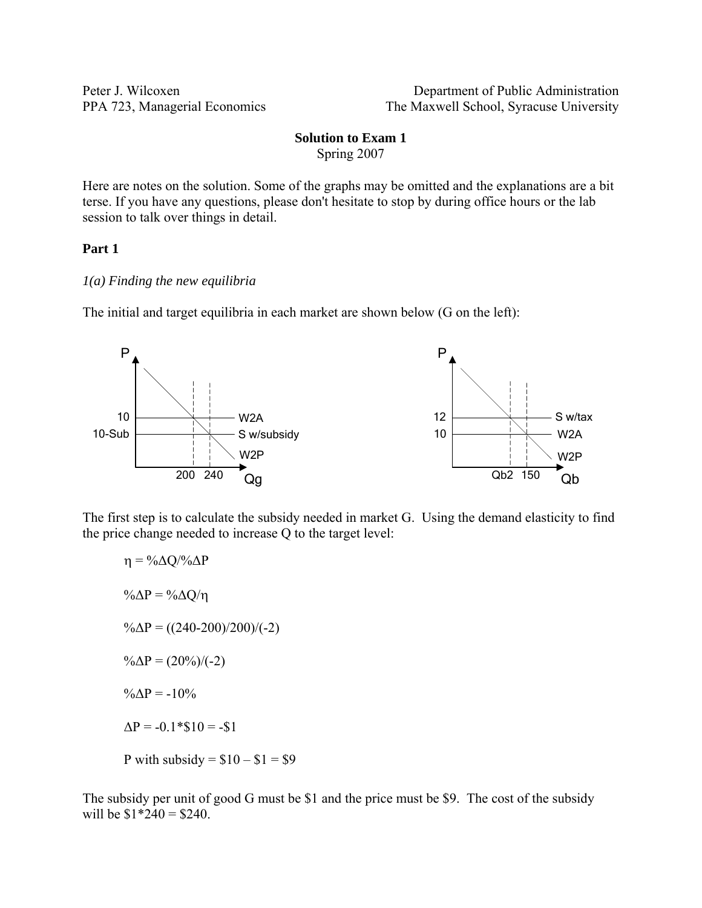Peter J. Wilcoxen Department of Public Administration PPA 723, Managerial Economics The Maxwell School, Syracuse University

### **Solution to Exam 1**  Spring 2007

Here are notes on the solution. Some of the graphs may be omitted and the explanations are a bit terse. If you have any questions, please don't hesitate to stop by during office hours or the lab session to talk over things in detail.

### **Part 1**

### *1(a) Finding the new equilibria*

The initial and target equilibria in each market are shown below (G on the left):



The first step is to calculate the subsidy needed in market G. Using the demand elasticity to find the price change needed to increase Q to the target level:

 $\eta = \frac{0}{\Delta Q} \frac{Q}{\Delta P}$ % $\Delta P = \% \Delta Q / \eta$  $\% \Delta P = ((240-200)/200)/(-2)$  $\% \Delta P = (20\%) (-2)$  $\% \Delta P = -10\%$  $\Delta P = -0.1 * $10 = - $1$ P with subsidy =  $$10 - $1 = $9$ 

The subsidy per unit of good G must be \$1 and the price must be \$9. The cost of the subsidy will be  $$1*240 = $240$ .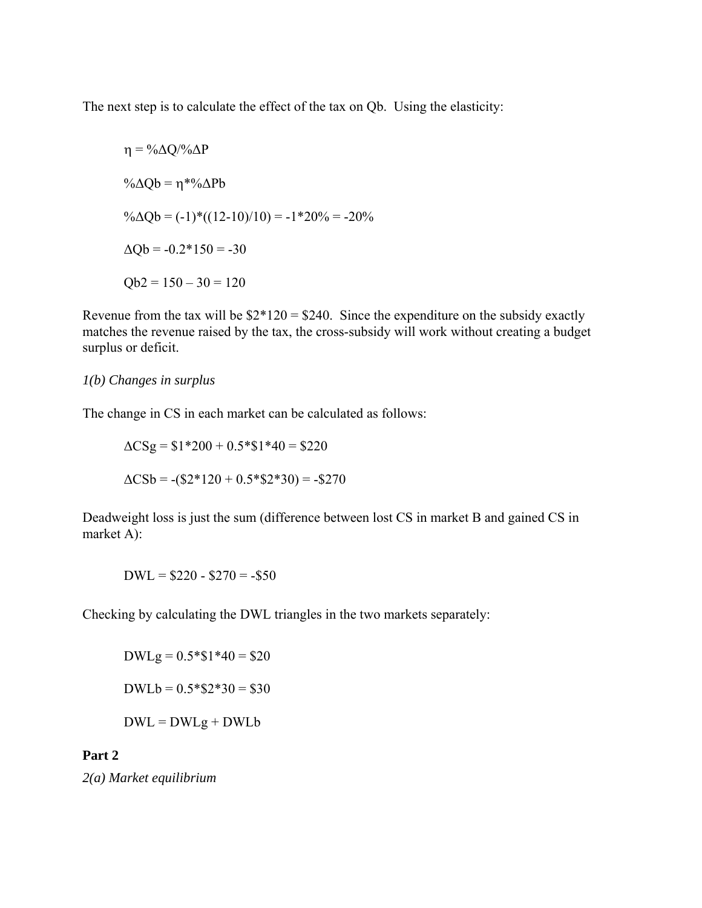The next step is to calculate the effect of the tax on Qb. Using the elasticity:

$$
\eta = \frac{9}{6}\Delta Q/\frac{9}{6}\Delta P
$$
  
\n
$$
\frac{9}{6}\Delta Qb = \eta * \frac{9}{6}\Delta Pb
$$
  
\n
$$
\frac{9}{6}\Delta Qb = (-1)^*((12-10)/10) = -1 * 20\% = -20\%
$$
  
\n
$$
\Delta Qb = -0.2 * 150 = -30
$$
  
\n
$$
Qb2 = 150 - 30 = 120
$$

Revenue from the tax will be  $$2*120 = $240$ . Since the expenditure on the subsidy exactly matches the revenue raised by the tax, the cross-subsidy will work without creating a budget surplus or deficit.

## *1(b) Changes in surplus*

The change in CS in each market can be calculated as follows:

$$
\Delta CSg = $1*200 + 0.5*\$1*40 = $220
$$
  

$$
\Delta CSB = -(\$2*120 + 0.5*\$2*30) = -\$270
$$

Deadweight loss is just the sum (difference between lost CS in market B and gained CS in market A):

 $DWL = $220 - $270 = - $50$ 

Checking by calculating the DWL triangles in the two markets separately:

 $DWLg = 0.5 * $1 * 40 = $20$  $DWLb = 0.5 * $2 * 30 = $30$  $DWL = DWLg + DWLb$ 

### **Part 2**

*2(a) Market equilibrium*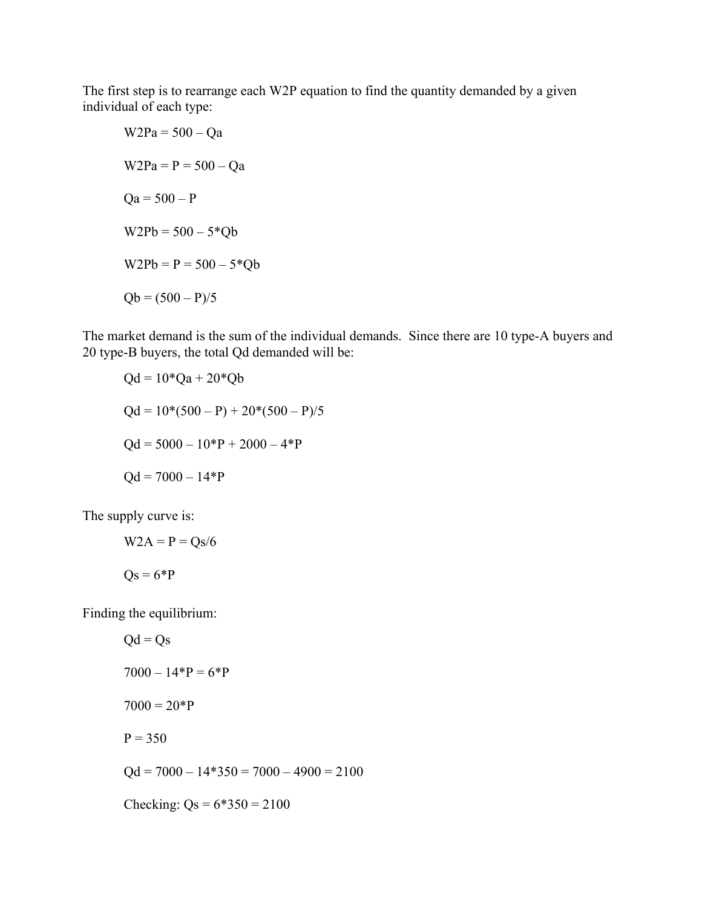The first step is to rearrange each W2P equation to find the quantity demanded by a given individual of each type:

$$
W2Pa = 500 - Qa
$$
  
\n
$$
W2Pa = P = 500 - Qa
$$
  
\n
$$
Qa = 500 - P
$$
  
\n
$$
W2Pb = 500 - 5*Qb
$$
  
\n
$$
W2Pb = P = 500 - 5*Qb
$$
  
\n
$$
Qb = (500 - P)/5
$$

The market demand is the sum of the individual demands. Since there are 10 type-A buyers and 20 type-B buyers, the total Qd demanded will be:

$$
Qd = 10*Qa + 20*Qb
$$
  
 
$$
Qd = 10*(500 - P) + 20*(500 - P)/5
$$
  
 
$$
Qd = 5000 - 10*P + 2000 - 4*P
$$
  
 
$$
Qd = 7000 - 14*P
$$

The supply curve is:

$$
W2A = P = Qs/6
$$

$$
Qs = 6*P
$$

Finding the equilibrium:

$$
Qd = Qs
$$
  
7000 - 14\*P = 6\*P  
7000 = 20\*P  
P = 350  
Qd = 7000 - 14\*350 = 7000 - 4900 = 2100  
Checking: Qs = 6\*350 = 2100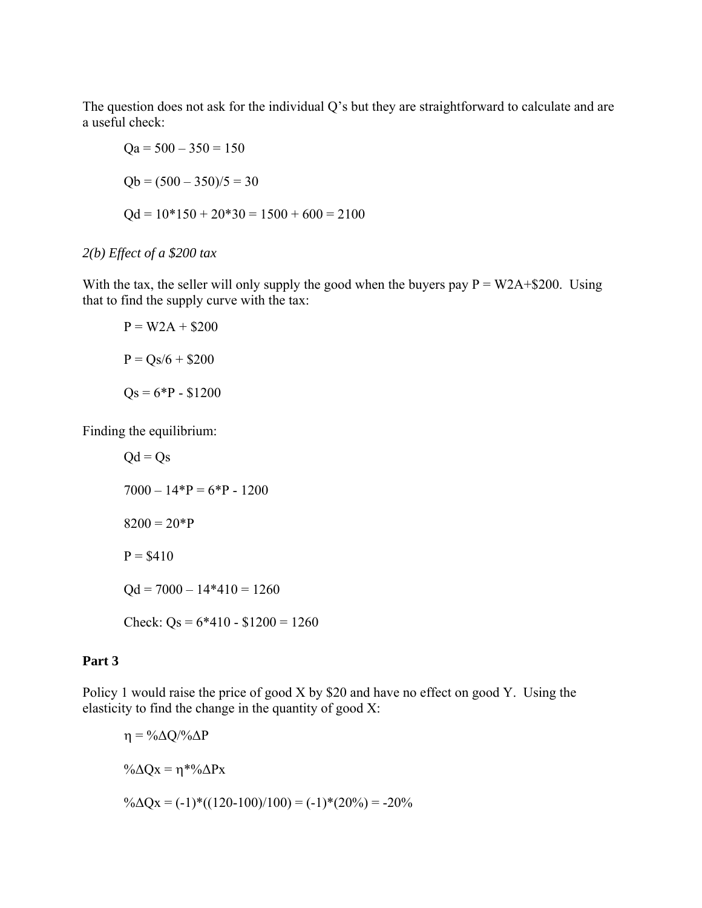The question does not ask for the individual Q's but they are straightforward to calculate and are a useful check:

$$
Qa = 500 - 350 = 150
$$
  
Qb = (500 - 350)/5 = 30  

$$
Qd = 10*150 + 20*30 = 1500 + 600 = 2100
$$

# *2(b) Effect of a \$200 tax*

With the tax, the seller will only supply the good when the buyers pay  $P = W2A + $200$ . Using that to find the supply curve with the tax:

$$
P = W2A + $200
$$

$$
P = Qs/6 + $200
$$

$$
Qs = 6*P - $1200
$$

Finding the equilibrium:

 $Qd = Qs$  $7000 - 14*P = 6*P - 1200$  $8200 = 20*P$  $P = $410$  $Qd = 7000 - 14*410 = 1260$ Check:  $Qs = 6*410 - 1200 = 1260$ 

## **Part 3**

Policy 1 would raise the price of good X by \$20 and have no effect on good Y. Using the elasticity to find the change in the quantity of good X:

 $\eta = \frac{0}{\Delta Q} \frac{0}{\Delta P}$ % $\Delta Qx = \eta * % \Delta Px$  $\%$ ∆Qx = (-1)\*((120-100)/100) = (-1)\*(20%) = -20%